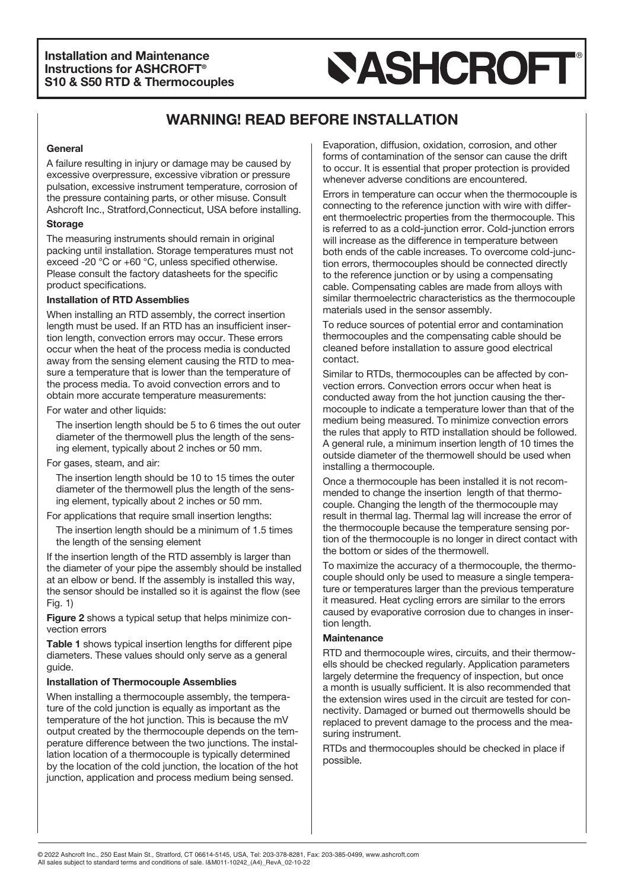# **SASHCROFT**

# **WARNING! READ BEFORE INSTALLATION**

#### **General**

A failure resulting in injury or damage may be caused by excessive overpressure, excessive vibration or pressure pulsation, excessive instrument temperature, corrosion of the pressure containing parts, or other misuse. Consult Ashcroft Inc., Stratford,Connecticut, USA before installing.

#### **Storage**

The measuring instruments should remain in original packing until installation. Storage temperatures must not exceed -20 °C or +60 °C, unless specified otherwise. Please consult the factory datasheets for the specific product specifications.

### **Installation of RTD Assemblies**

When installing an RTD assembly, the correct insertion length must be used. If an RTD has an insufficient insertion length, convection errors may occur. These errors occur when the heat of the process media is conducted away from the sensing element causing the RTD to measure a temperature that is lower than the temperature of the process media. To avoid convection errors and to obtain more accurate temperature measurements:

For water and other liquids:

The insertion length should be 5 to 6 times the out outer diameter of the thermowell plus the length of the sensing element, typically about 2 inches or 50 mm.

For gases, steam, and air:

The insertion length should be 10 to 15 times the outer diameter of the thermowell plus the length of the sensing element, typically about 2 inches or 50 mm.

For applications that require small insertion lengths:

The insertion length should be a minimum of 1.5 times the length of the sensing element

If the insertion length of the RTD assembly is larger than the diameter of your pipe the assembly should be installed at an elbow or bend. If the assembly is installed this way, the sensor should be installed so it is against the flow (see Fig. 1)

**Figure 2** shows a typical setup that helps minimize convection errors

**Table 1** shows typical insertion lengths for different pipe diameters. These values should only serve as a general guide.

### **Installation of Thermocouple Assemblies**

When installing a thermocouple assembly, the temperature of the cold junction is equally as important as the temperature of the hot junction. This is because the mV output created by the thermocouple depends on the temperature difference between the two junctions. The installation location of a thermocouple is typically determined by the location of the cold junction, the location of the hot junction, application and process medium being sensed.

Evaporation, diffusion, oxidation, corrosion, and other forms of contamination of the sensor can cause the drift to occur. It is essential that proper protection is provided whenever adverse conditions are encountered.

Errors in temperature can occur when the thermocouple is connecting to the reference junction with wire with different thermoelectric properties from the thermocouple. This is referred to as a cold-junction error. Cold-junction errors will increase as the difference in temperature between both ends of the cable increases. To overcome cold-junction errors, thermocouples should be connected directly to the reference junction or by using a compensating cable. Compensating cables are made from alloys with similar thermoelectric characteristics as the thermocouple materials used in the sensor assembly.

To reduce sources of potential error and contamination thermocouples and the compensating cable should be cleaned before installation to assure good electrical contact.

Similar to RTDs, thermocouples can be affected by convection errors. Convection errors occur when heat is conducted away from the hot junction causing the thermocouple to indicate a temperature lower than that of the medium being measured. To minimize convection errors the rules that apply to RTD installation should be followed. A general rule, a minimum insertion length of 10 times the outside diameter of the thermowell should be used when installing a thermocouple.

Once a thermocouple has been installed it is not recommended to change the insertion length of that thermocouple. Changing the length of the thermocouple may result in thermal lag. Thermal lag will increase the error of the thermocouple because the temperature sensing portion of the thermocouple is no longer in direct contact with the bottom or sides of the thermowell.

To maximize the accuracy of a thermocouple, the thermocouple should only be used to measure a single temperature or temperatures larger than the previous temperature it measured. Heat cycling errors are similar to the errors caused by evaporative corrosion due to changes in insertion length.

### **Maintenance**

RTD and thermocouple wires, circuits, and their thermowells should be checked regularly. Application parameters largely determine the frequency of inspection, but once a month is usually sufficient. It is also recommended that the extension wires used in the circuit are tested for connectivity. Damaged or burned out thermowells should be replaced to prevent damage to the process and the measuring instrument.

RTDs and thermocouples should be checked in place if possible.